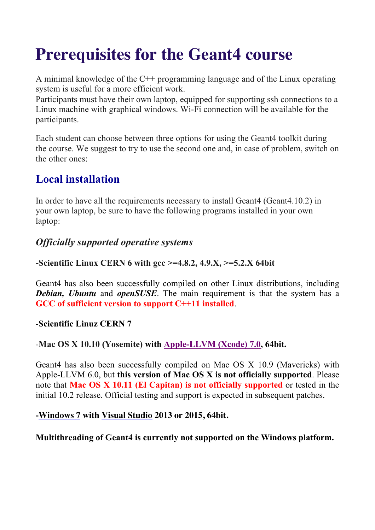# **Prerequisites for the Geant4 course**

A minimal knowledge of the C++ programming language and of the Linux operating system is useful for a more efficient work.

Participants must have their own laptop, equipped for supporting ssh connections to a Linux machine with graphical windows. Wi-Fi connection will be available for the participants.

Each student can choose between three options for using the Geant4 toolkit during the course. We suggest to try to use the second one and, in case of problem, switch on the other ones:

# **Local installation**

In order to have all the requirements necessary to install Geant4 (Geant4.10.2) in your own laptop, be sure to have the following programs installed in your own laptop:

## *Officially supported operative systems*

#### **-Scientific Linux CERN 6 with gcc >=4.8.2, 4.9.X, >=5.2.X 64bit**

Geant4 has also been successfully compiled on other Linux distributions, including *Debian, Ubuntu* and *openSUSE*. The main requirement is that the system has a **GCC of sufficient version to support C++11 installed**.

#### -**Scientific Linuz CERN 7**

#### -**Mac OS X 10.10 (Yosemite) with Apple-LLVM (Xcode) 7.0, 64bit.**

Geant4 has also been successfully compiled on Mac OS X 10.9 (Mavericks) with Apple-LLVM 6.0, but **this version of Mac OS X is not officially supported**. Please note that **Mac OS X 10.11 (El Capitan) is not officially supported** or tested in the initial 10.2 release. Official testing and support is expected in subsequent patches.

#### **-Windows 7 with Visual Studio 2013 or 2015, 64bit.**

#### **Multithreading of Geant4 is currently not supported on the Windows platform.**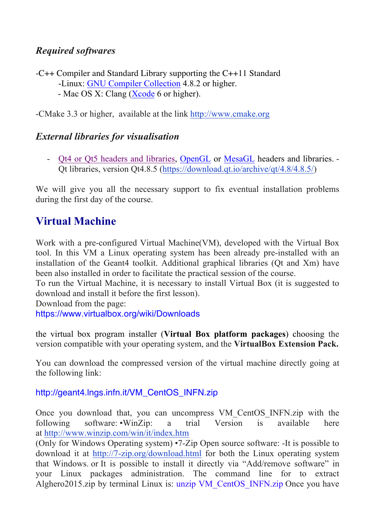## *Required softwares*

-C++ Compiler and Standard Library supporting the C++11 Standard -Linux: GNU Compiler Collection 4.8.2 or higher. - Mac OS X: Clang (Xcode 6 or higher).

-CMake 3.3 or higher, available at the link http://www.cmake.org

### *External libraries for visualisation*

- Qt4 or Qt5 headers and libraries, OpenGL or MesaGL headers and libraries. - Qt libraries, version Qt4.8.5 (https://download.qt.io/archive/qt/4.8/4.8.5/)

We will give you all the necessary support to fix eventual installation problems during the first day of the course.

# **Virtual Machine**

Work with a pre-configured Virtual Machine(VM), developed with the Virtual Box tool. In this VM a Linux operating system has been already pre-installed with an installation of the Geant4 toolkit. Additional graphical libraries (Qt and Xm) have been also installed in order to facilitate the practical session of the course.

To run the Virtual Machine, it is necessary to install Virtual Box (it is suggested to download and install it before the first lesson).

Download from the page:

https://www.virtualbox.org/wiki/Downloads

the virtual box program installer (**Virtual Box platform packages**) choosing the version compatible with your operating system, and the **VirtualBox Extension Pack.**

You can download the compressed version of the virtual machine directly going at the following link:

http://geant4.lngs.infn.it/VM\_CentOS\_INFN.zip

Once you download that, you can uncompress VM\_CentOS\_INFN.zip with the following software: •WinZip: a trial Version is available here at http://www.winzip.com/win/it/index.htm

(Only for Windows Operating system) •7-Zip Open source software: -It is possible to download it at http://7-zip.org/download.html for both the Linux operating system that Windows. or It is possible to install it directly via "Add/remove software" in your Linux packages administration. The command line for to extract Alghero2015.zip by terminal Linux is: unzip VM\_CentOS\_INFN.zip Once you have